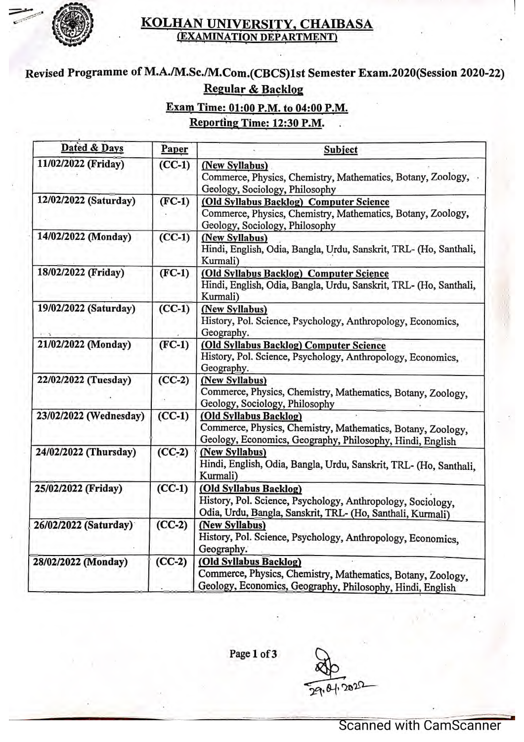

### KOLHAN UNIVERSITY. CHAIBASA (EXAMINATION DEPARTMENT)

# Revised Programme of M.A./M.Sc./M.Com.(CBCS)1st Semester Exam.2020(Session 2020-22) Regular & Backlog

## Exam Time: 01:00 P.M. to 04:00 P.M. Reporting Time: 12:30 P.M.

| Dated & Days           | Paper    | Subject                                                                                                                                             |  |
|------------------------|----------|-----------------------------------------------------------------------------------------------------------------------------------------------------|--|
| 11/02/2022 (Friday)    | $(CC-1)$ | (New Syllabus)<br>Commerce, Physics, Chemistry, Mathematics, Botany, Zoology,<br>Geology, Sociology, Philosophy                                     |  |
| 12/02/2022 (Saturday)  | $(FC-1)$ | (Old Syllabus Backlog) Computer Science<br>Commerce, Physics, Chemistry, Mathematics, Botany, Zoology,<br>Geology, Sociology, Philosophy            |  |
| 14/02/2022 (Monday)    | $(CC-1)$ | (New Syllabus)<br>Hindi, English, Odia, Bangla, Urdu, Sanskrit, TRL- (Ho, Santhali,<br>Kurmali)                                                     |  |
| 18/02/2022 (Friday)    | $(FC-1)$ | (Old Syllabus Backlog) Computer Science<br>Hindi, English, Odia, Bangla, Urdu, Sanskrit, TRL- (Ho, Santhali,<br>Kurmali)                            |  |
| 19/02/2022 (Saturday)  | $(CC-1)$ | (New Syllabus)<br>History, Pol. Science, Psychology, Anthropology, Economics,<br>Geography.                                                         |  |
| 21/02/2022 (Monday)    | $(FC-1)$ | (Old Syllabus Backlog) Computer Science<br>History, Pol. Science, Psychology, Anthropology, Economics,<br>Geography.                                |  |
| 22/02/2022 (Tuesday)   | $(CC-2)$ | (New Syllabus)<br>Commerce, Physics, Chemistry, Mathematics, Botany, Zoology,<br>Geology, Sociology, Philosophy                                     |  |
| 23/02/2022 (Wednesday) | $(CC-1)$ | (Old Syllabus Backlog)<br>Commerce, Physics, Chemistry, Mathematics, Botany, Zoology,<br>Geology, Economics, Geography, Philosophy, Hindi, English  |  |
| 24/02/2022 (Thursday)  | $(CC-2)$ | (New Syllabus)<br>Hindi, English, Odia, Bangla, Urdu, Sanskrit, TRL- (Ho, Santhali,<br>Kurmali)                                                     |  |
| 25/02/2022 (Friday)    | $(CC-1)$ | (Old Syllabus Backlog)<br>History, Pol. Science, Psychology, Anthropology, Sociology,<br>Odia, Urdu, Bangla, Sanskrit, TRL- (Ho, Santhali, Kurmali) |  |
| 26/02/2022 (Saturday)  | $(CC-2)$ | (New Syllabus)<br>History, Pol. Science, Psychology, Anthropology, Economics,<br>Geography.                                                         |  |
| 28/02/2022 (Monday)    | $(CC-2)$ | (Old Syllabus Backlog)<br>Commerce, Physics, Chemistry, Mathematics, Botany, Zoology,<br>Geology, Economics, Geography, Philosophy, Hindi, English  |  |

Page 1 of 3

29.01.2020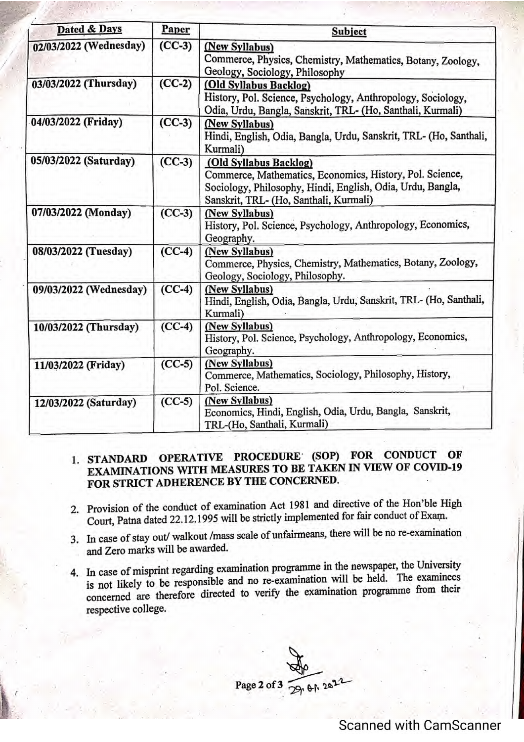| Dated & Days           | Paper    | <b>Subject</b>                                                                                                                                                                             |  |
|------------------------|----------|--------------------------------------------------------------------------------------------------------------------------------------------------------------------------------------------|--|
| 02/03/2022 (Wednesday) | $(CC-3)$ | (New Syllabus)<br>Commerce, Physics, Chemistry, Mathematics, Botany, Zoology,<br>Geology, Sociology, Philosophy                                                                            |  |
| 03/03/2022 (Thursday)  | $(CC-2)$ | (Old Syllabus Backlog)<br>History, Pol. Science, Psychology, Anthropology, Sociology,<br>Odia, Urdu, Bangla, Sanskrit, TRL- (Ho, Santhali, Kurmali)                                        |  |
| 04/03/2022 (Friday)    | $(CC-3)$ | (New Syllabus)<br>Hindi, English, Odia, Bangla, Urdu, Sanskrit, TRL- (Ho, Santhali,<br>Kurmali)                                                                                            |  |
| 05/03/2022 (Saturday)  | $(CC-3)$ | (Old Syllabus Backlog)<br>Commerce, Mathematics, Economics, History, Pol. Science,<br>Sociology, Philosophy, Hindi, English, Odia, Urdu, Bangla,<br>Sanskrit, TRL- (Ho, Santhali, Kurmali) |  |
| 07/03/2022 (Monday)    | $(CC-3)$ | (New Syllabus)<br>History, Pol. Science, Psychology, Anthropology, Economics,<br>Geography.                                                                                                |  |
| 08/03/2022 (Tuesday)   | $(CC-4)$ | (New Syllabus)<br>Commerce, Physics, Chemistry, Mathematics, Botany, Zoology,<br>Geology, Sociology, Philosophy.                                                                           |  |
| 09/03/2022 (Wednesday) | $(CC-4)$ | (New Syllabus)<br>Hindi, English, Odia, Bangla, Urdu, Sanskrit, TRL- (Ho, Santhali,<br>Kurmali)                                                                                            |  |
| 10/03/2022 (Thursday)  | $(CC-4)$ | (New Syllabus)<br>History, Pol. Science, Psychology, Anthropology, Economics,<br>Geography.                                                                                                |  |
| 11/03/2022 (Friday)    | $(CC-5)$ | (New Syllabus)<br>Commerce, Mathematics, Sociology, Philosophy, History,<br>Pol. Science.                                                                                                  |  |
| 12/03/2022 (Saturday)  | $(CC-5)$ | (New Syllabus)<br>Economics, Hindi, English, Odia, Urdu, Bangla, Sanskrit,<br>TRL-(Ho, Santhali, Kurmali)                                                                                  |  |

### 1. STANDARD OPERATIVE PROCEDURE (SOP) FOR CONDUCT OF EXAMINATIONS WITH MEASURES TO BE TAKEN IN VIEW OF COVID-19 FOR STRICT ADHERENCE BY THE CONCERNED.

- 2. Provision of the conduct of examination Act 1981 and directive of the Hon'ble High Court, Patna dated 22.12.1995 will be strictly implemented for fair conduct of Exam.
- 3. In case of stay out/ walkout /mass scale of unfairmeans, there will be no re-examination and Zero marks will be awarded.
- 4. In case of misprint regarding examination programme in the newspaper, the University is not likely to be responsible and no re-examination will be held. The examinees is not likely to be responsible and no re-examination will be held. The examineer concerned are therefore directed to verify the examination programme from the respective college.

Page 2 of 3  $\frac{80}{291}$  eft  $20^{22}$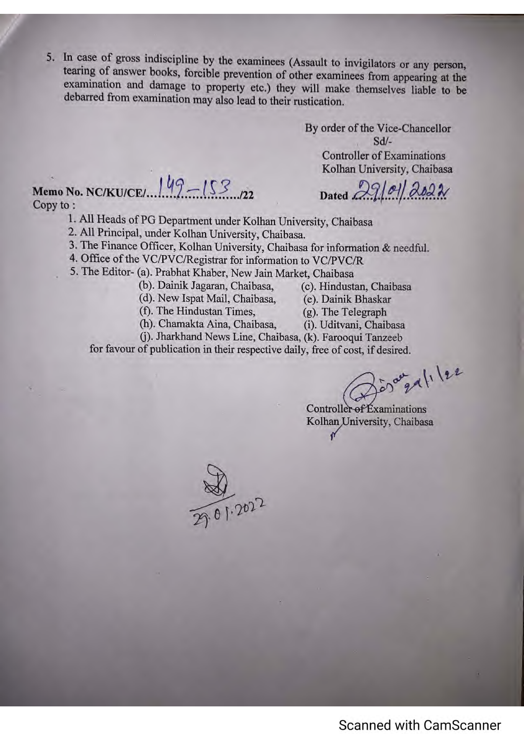5. In case of gross indiscipline by the examinees (Assault to invigilators or any person, tearing of answer books, forcible prevention of other examinees from appearing at the examination and damage to property etc.) they will make themselves liable to be debarred from examination may also lead to their rustication.

> By order of the Vice-Chancellor Sd/- Controller of Examinations Kolhan University, Chaiba<mark>sa</mark>

# Dated  $29/01/2022$

Memo No. NC/KU/CE/... $149 - 153$ Copy to:

1. All Heads of PG Department under Kolhan University, Chaibasa

2. All Principal, under Kolhan University, Chaibasa.

3. The Finance Officer, Kolhan University, Chaibasa for information & needful.

4. Office of the VC/PVC/Registrar for information to VC/PVC/R

5. The Editor- (a). Prabhat Khaber, New Jain Market, Chaibasa

(b). Dainik Jagaran, Chaibasa, (c). Hindustan, Chaibasa

(d). New Ispat Mail, Chaibasa, (e). Dainik Bhaskar

(f). The Hindustan Times, (g). The Telegraph

(h). Chamakta Aina, Chaibasa, (i). Uditvani, Chaibasa

(j). Jharkhand News Line, Chaibasa, (k). Farooqui Tanzeeb

for favour of publication in their respective daily, free of cost, if desired.

is a property lee

Controller-of Examinations Kolhan University, Chaibasa

 $\frac{84}{2022}$